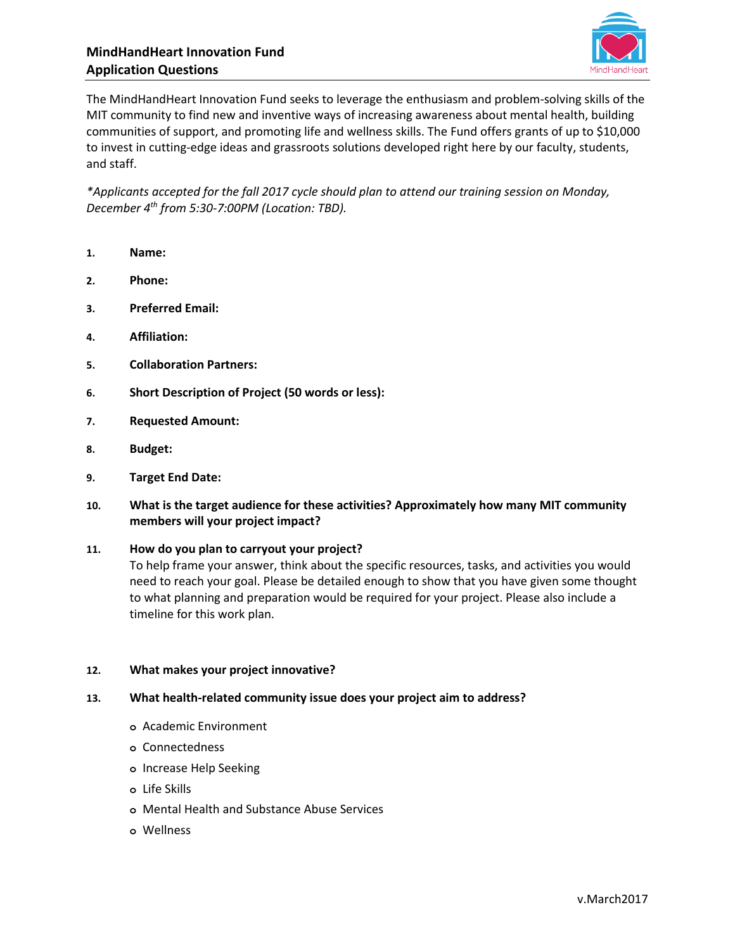

The MindHandHeart Innovation Fund seeks to leverage the enthusiasm and problem-solving skills of the MIT community to find new and inventive ways of increasing awareness about mental health, building communities of support, and promoting life and wellness skills. The Fund offers grants of up to \$10,000 to invest in cutting-edge ideas and grassroots solutions developed right here by our faculty, students, and staff.

*\*Applicants accepted for the fall 2017 cycle should plan to attend our training session on Monday, December 4th from 5:30-7:00PM (Location: TBD).*

- **1. Name:**
- **2. Phone:**
- **3. Preferred Email:**
- **4. Affiliation:**
- **5. Collaboration Partners:**
- **6. Short Description of Project (50 words or less):**
- **7. Requested Amount:**
- **8. Budget:**
- **9. Target End Date:**
- **10. What is the target audience for these activities? Approximately how many MIT community members will your project impact?**

## **11. How do you plan to carryout your project?**

To help frame your answer, think about the specific resources, tasks, and activities you would need to reach your goal. Please be detailed enough to show that you have given some thought to what planning and preparation would be required for your project. Please also include a timeline for this work plan.

## **12. What makes your project innovative?**

- **13. What health-related community issue does your project aim to address?**
	- **o** Academic Environment
	- **o** Connectedness
	- **o** Increase Help Seeking
	- **o** Life Skills
	- **o** Mental Health and Substance Abuse Services
	- **o** Wellness